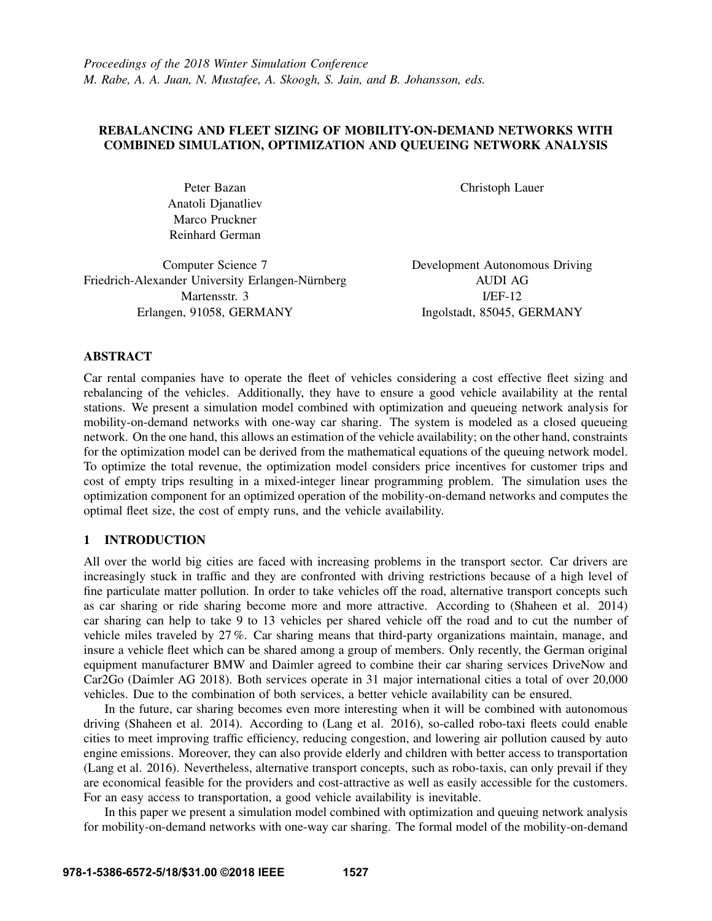# REBALANCING AND FLEET SIZING OF MOBILITY-ON-DEMAND NETWORKS WITH COMBINED SIMULATION, OPTIMIZATION AND QUEUEING NETWORK ANALYSIS

Peter Bazan Anatoli Djanatliev Marco Pruckner Reinhard German

Computer Science 7 Friedrich-Alexander University Erlangen-Nürnberg Martensstr. 3 Erlangen, 91058, GERMANY

Christoph Lauer

Development Autonomous Driving AUDI AG I/EF-12 Ingolstadt, 85045, GERMANY

## ABSTRACT

Car rental companies have to operate the fleet of vehicles considering a cost effective fleet sizing and rebalancing of the vehicles. Additionally, they have to ensure a good vehicle availability at the rental stations. We present a simulation model combined with optimization and queueing network analysis for mobility-on-demand networks with one-way car sharing. The system is modeled as a closed queueing network. On the one hand, this allows an estimation of the vehicle availability; on the other hand, constraints for the optimization model can be derived from the mathematical equations of the queuing network model. To optimize the total revenue, the optimization model considers price incentives for customer trips and cost of empty trips resulting in a mixed-integer linear programming problem. The simulation uses the optimization component for an optimized operation of the mobility-on-demand networks and computes the optimal fleet size, the cost of empty runs, and the vehicle availability.

# 1 INTRODUCTION

All over the world big cities are faced with increasing problems in the transport sector. Car drivers are increasingly stuck in traffic and they are confronted with driving restrictions because of a high level of fine particulate matter pollution. In order to take vehicles off the road, alternative transport concepts such as car sharing or ride sharing become more and more attractive. According to (Shaheen et al. 2014) car sharing can help to take 9 to 13 vehicles per shared vehicle off the road and to cut the number of vehicle miles traveled by 27 %. Car sharing means that third-party organizations maintain, manage, and insure a vehicle fleet which can be shared among a group of members. Only recently, the German original equipment manufacturer BMW and Daimler agreed to combine their car sharing services DriveNow and Car2Go (Daimler AG 2018). Both services operate in 31 major international cities a total of over 20,000 vehicles. Due to the combination of both services, a better vehicle availability can be ensured.

In the future, car sharing becomes even more interesting when it will be combined with autonomous driving (Shaheen et al. 2014). According to (Lang et al. 2016), so-called robo-taxi fleets could enable cities to meet improving traffic efficiency, reducing congestion, and lowering air pollution caused by auto engine emissions. Moreover, they can also provide elderly and children with better access to transportation (Lang et al. 2016). Nevertheless, alternative transport concepts, such as robo-taxis, can only prevail if they are economical feasible for the providers and cost-attractive as well as easily accessible for the customers. For an easy access to transportation, a good vehicle availability is inevitable.

In this paper we present a simulation model combined with optimization and queuing network analysis for mobility-on-demand networks with one-way car sharing. The formal model of the mobility-on-demand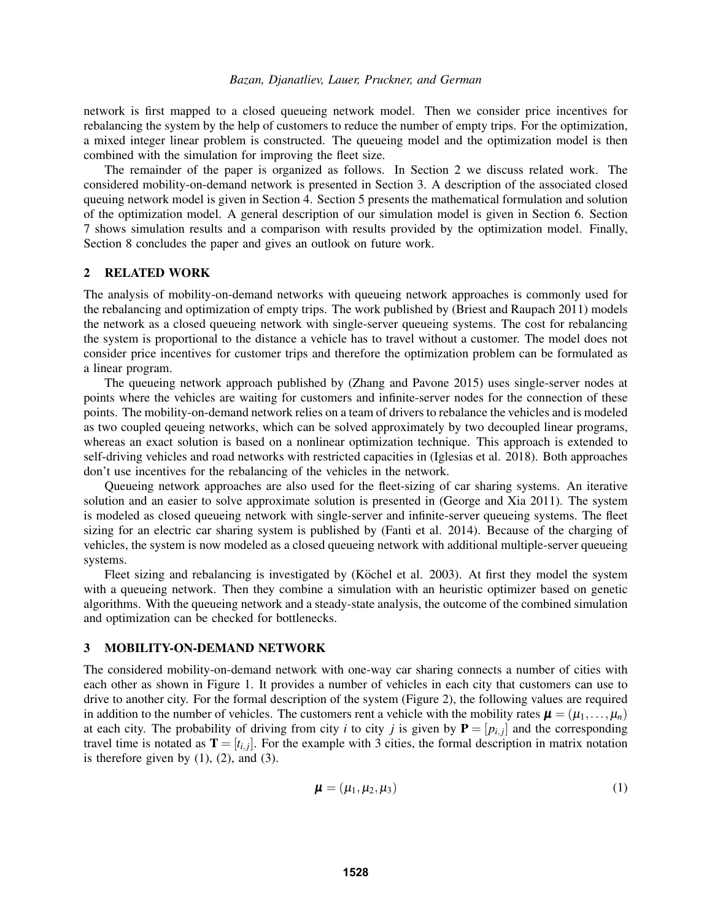network is first mapped to a closed queueing network model. Then we consider price incentives for rebalancing the system by the help of customers to reduce the number of empty trips. For the optimization, a mixed integer linear problem is constructed. The queueing model and the optimization model is then combined with the simulation for improving the fleet size.

The remainder of the paper is organized as follows. In Section 2 we discuss related work. The considered mobility-on-demand network is presented in Section 3. A description of the associated closed queuing network model is given in Section 4. Section 5 presents the mathematical formulation and solution of the optimization model. A general description of our simulation model is given in Section 6. Section 7 shows simulation results and a comparison with results provided by the optimization model. Finally, Section 8 concludes the paper and gives an outlook on future work.

### 2 RELATED WORK

The analysis of mobility-on-demand networks with queueing network approaches is commonly used for the rebalancing and optimization of empty trips. The work published by (Briest and Raupach 2011) models the network as a closed queueing network with single-server queueing systems. The cost for rebalancing the system is proportional to the distance a vehicle has to travel without a customer. The model does not consider price incentives for customer trips and therefore the optimization problem can be formulated as a linear program.

The queueing network approach published by (Zhang and Pavone 2015) uses single-server nodes at points where the vehicles are waiting for customers and infinite-server nodes for the connection of these points. The mobility-on-demand network relies on a team of drivers to rebalance the vehicles and is modeled as two coupled qeueing networks, which can be solved approximately by two decoupled linear programs, whereas an exact solution is based on a nonlinear optimization technique. This approach is extended to self-driving vehicles and road networks with restricted capacities in (Iglesias et al. 2018). Both approaches don't use incentives for the rebalancing of the vehicles in the network.

Queueing network approaches are also used for the fleet-sizing of car sharing systems. An iterative solution and an easier to solve approximate solution is presented in (George and Xia 2011). The system is modeled as closed queueing network with single-server and infinite-server queueing systems. The fleet sizing for an electric car sharing system is published by (Fanti et al. 2014). Because of the charging of vehicles, the system is now modeled as a closed queueing network with additional multiple-server queueing systems.

Fleet sizing and rebalancing is investigated by (Köchel et al. 2003). At first they model the system with a queueing network. Then they combine a simulation with an heuristic optimizer based on genetic algorithms. With the queueing network and a steady-state analysis, the outcome of the combined simulation and optimization can be checked for bottlenecks.

### 3 MOBILITY-ON-DEMAND NETWORK

The considered mobility-on-demand network with one-way car sharing connects a number of cities with each other as shown in Figure 1. It provides a number of vehicles in each city that customers can use to drive to another city. For the formal description of the system (Figure 2), the following values are required in addition to the number of vehicles. The customers rent a vehicle with the mobility rates  $\boldsymbol{\mu} = (\mu_1, \dots, \mu_n)$ at each city. The probability of driving from city *i* to city *j* is given by  $P = [p_{i,j}]$  and the corresponding travel time is notated as  $T = [t_{i,j}]$ . For the example with 3 cities, the formal description in matrix notation is therefore given by  $(1)$ ,  $(2)$ , and  $(3)$ .

$$
\boldsymbol{\mu} = (\mu_1, \mu_2, \mu_3) \tag{1}
$$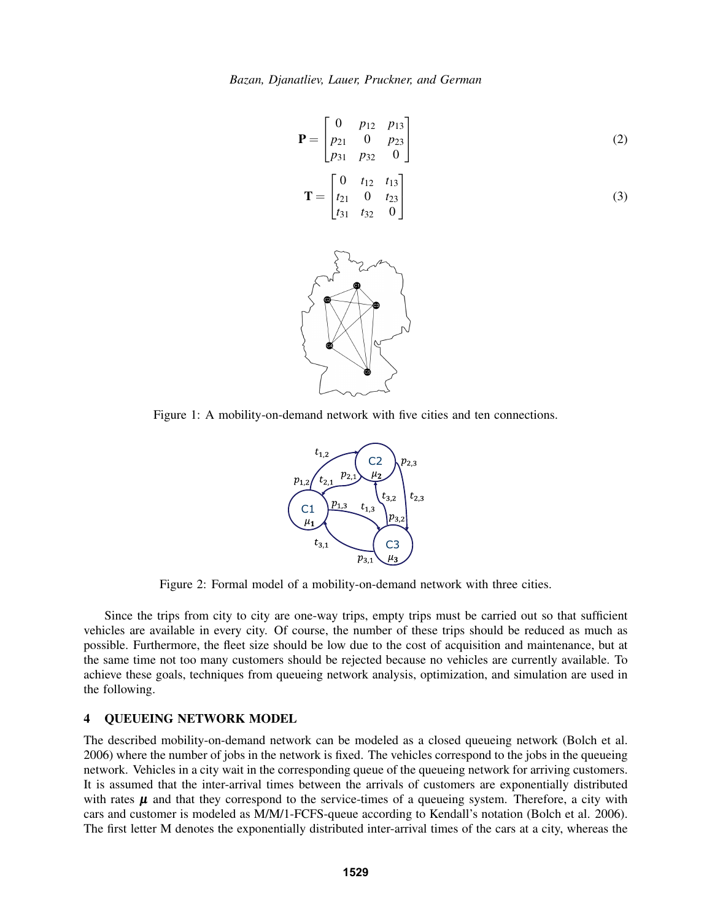$$
\mathbf{P} = \begin{bmatrix} 0 & p_{12} & p_{13} \\ p_{21} & 0 & p_{23} \\ p_{31} & p_{32} & 0 \end{bmatrix}
$$
(2)  

$$
\mathbf{T} = \begin{bmatrix} 0 & t_{12} & t_{13} \\ t_{21} & 0 & t_{23} \\ t_{31} & t_{32} & 0 \end{bmatrix}
$$
(3)



Figure 1: A mobility-on-demand network with five cities and ten connections.



Figure 2: Formal model of a mobility-on-demand network with three cities.

Since the trips from city to city are one-way trips, empty trips must be carried out so that sufficient vehicles are available in every city. Of course, the number of these trips should be reduced as much as possible. Furthermore, the fleet size should be low due to the cost of acquisition and maintenance, but at the same time not too many customers should be rejected because no vehicles are currently available. To achieve these goals, techniques from queueing network analysis, optimization, and simulation are used in the following.

## 4 QUEUEING NETWORK MODEL

The described mobility-on-demand network can be modeled as a closed queueing network (Bolch et al. 2006) where the number of jobs in the network is fixed. The vehicles correspond to the jobs in the queueing network. Vehicles in a city wait in the corresponding queue of the queueing network for arriving customers. It is assumed that the inter-arrival times between the arrivals of customers are exponentially distributed with rates  $\mu$  and that they correspond to the service-times of a queueing system. Therefore, a city with cars and customer is modeled as M/M/1-FCFS-queue according to Kendall's notation (Bolch et al. 2006). The first letter M denotes the exponentially distributed inter-arrival times of the cars at a city, whereas the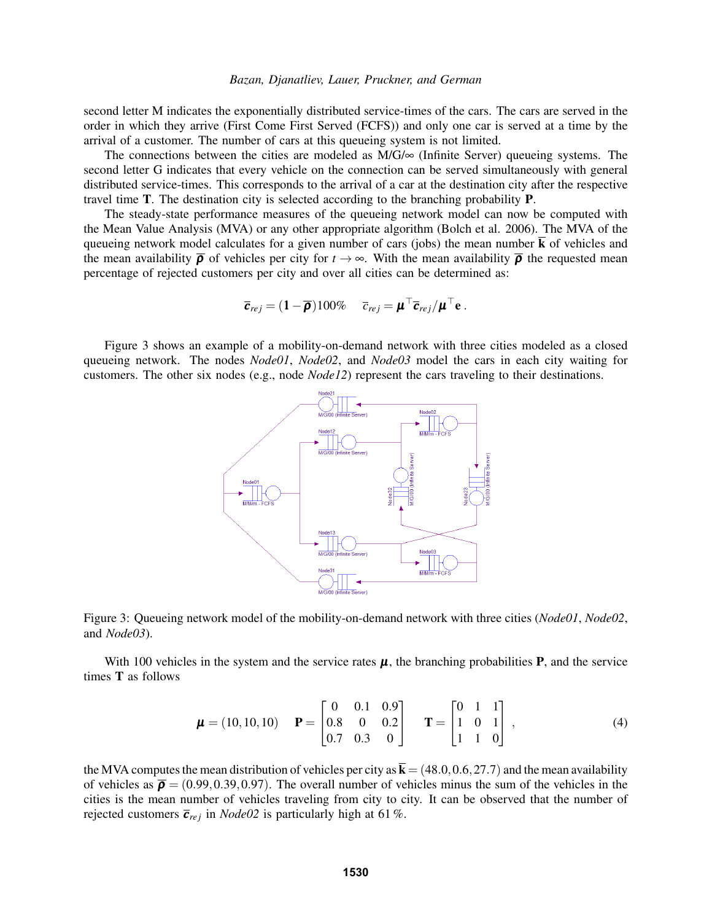second letter M indicates the exponentially distributed service-times of the cars. The cars are served in the order in which they arrive (First Come First Served (FCFS)) and only one car is served at a time by the arrival of a customer. The number of cars at this queueing system is not limited.

The connections between the cities are modeled as  $M/G/\infty$  (Infinite Server) queueing systems. The second letter G indicates that every vehicle on the connection can be served simultaneously with general distributed service-times. This corresponds to the arrival of a car at the destination city after the respective travel time T. The destination city is selected according to the branching probability P.

The steady-state performance measures of the queueing network model can now be computed with the Mean Value Analysis (MVA) or any other appropriate algorithm (Bolch et al. 2006). The MVA of the queueing network model calculates for a given number of cars (jobs) the mean number  $\bar{k}$  of vehicles and the mean availability  $\bar{\rho}$  of vehicles per city for  $t \to \infty$ . With the mean availability  $\bar{\rho}$  the requested mean percentage of rejected customers per city and over all cities can be determined as:

$$
\overline{\boldsymbol{c}}_{rej} = (1-\overline{\boldsymbol{\rho}})100\% \quad \overline{c}_{rej} = \boldsymbol{\mu}^\top \overline{\boldsymbol{c}}_{rej}/\boldsymbol{\mu}^\top \mathbf{e}.
$$

Figure 3 shows an example of a mobility-on-demand network with three cities modeled as a closed queueing network. The nodes *Node01*, *Node02*, and *Node03* model the cars in each city waiting for customers. The other six nodes (e.g., node *Node12*) represent the cars traveling to their destinations.





With 100 vehicles in the system and the service rates  $\mu$ , the branching probabilities **P**, and the service times T as follows

$$
\boldsymbol{\mu} = (10, 10, 10) \quad \mathbf{P} = \begin{bmatrix} 0 & 0.1 & 0.9 \\ 0.8 & 0 & 0.2 \\ 0.7 & 0.3 & 0 \end{bmatrix} \quad \mathbf{T} = \begin{bmatrix} 0 & 1 & 1 \\ 1 & 0 & 1 \\ 1 & 1 & 0 \end{bmatrix}, \tag{4}
$$

the MVA computes the mean distribution of vehicles per city as  $\mathbf{k} = (48.0, 0.6, 27.7)$  and the mean availability of vehicles as  $\bar{\rho} = (0.99, 0.39, 0.97)$ . The overall number of vehicles minus the sum of the vehicles in the cities is the mean number of vehicles traveling from city to city. It can be observed that the number of rejected customers  $\overline{c}_{rej}$  in *Node02* is particularly high at 61%.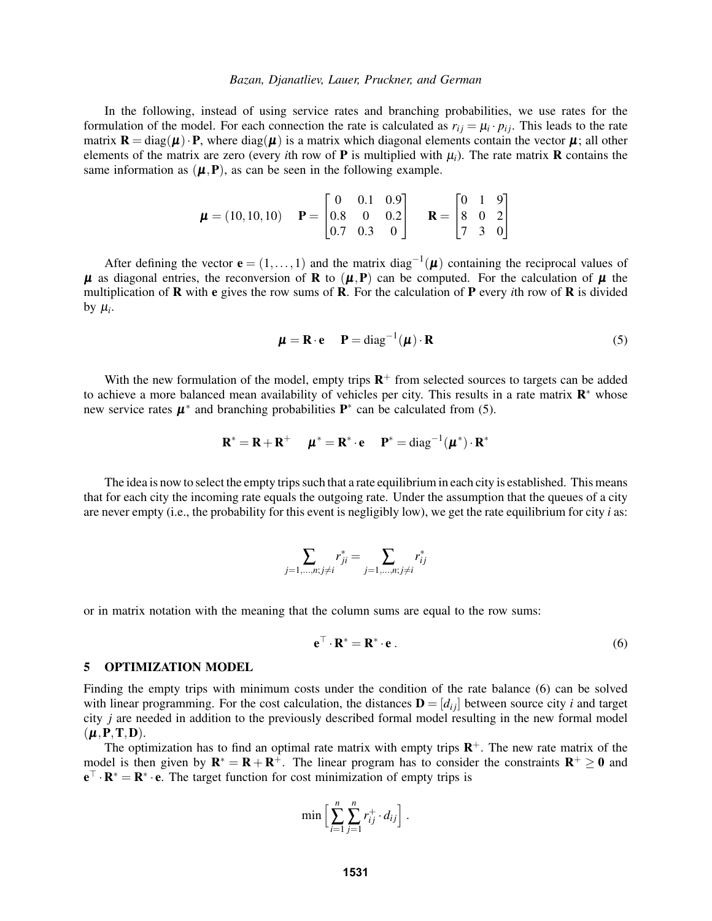In the following, instead of using service rates and branching probabilities, we use rates for the formulation of the model. For each connection the rate is calculated as  $r_{ij} = \mu_i \cdot p_{ij}$ . This leads to the rate matrix  $\mathbf{R} = \text{diag}(\mu) \cdot \mathbf{P}$ , where  $\text{diag}(\mu)$  is a matrix which diagonal elements contain the vector  $\mu$ ; all other elements of the matrix are zero (every *i*th row of **P** is multiplied with  $\mu_i$ ). The rate matrix **R** contains the same information as  $(\mu, P)$ , as can be seen in the following example.

$$
\boldsymbol{\mu} = (10, 10, 10) \quad \mathbf{P} = \begin{bmatrix} 0 & 0.1 & 0.9 \\ 0.8 & 0 & 0.2 \\ 0.7 & 0.3 & 0 \end{bmatrix} \quad \mathbf{R} = \begin{bmatrix} 0 & 1 & 9 \\ 8 & 0 & 2 \\ 7 & 3 & 0 \end{bmatrix}
$$

After defining the vector  $\mathbf{e} = (1, \ldots, 1)$  and the matrix diag<sup>-1</sup>( $\mu$ ) containing the reciprocal values of  $\mu$  as diagonal entries, the reconversion of **R** to  $(\mu, P)$  can be computed. For the calculation of  $\mu$  the multiplication of R with e gives the row sums of R. For the calculation of P every *i*th row of R is divided by  $\mu_i$ .

$$
\boldsymbol{\mu} = \mathbf{R} \cdot \mathbf{e} \qquad \mathbf{P} = \text{diag}^{-1}(\boldsymbol{\mu}) \cdot \mathbf{R} \tag{5}
$$

With the new formulation of the model, empty trips  $\mathbb{R}^+$  from selected sources to targets can be added to achieve a more balanced mean availability of vehicles per city. This results in a rate matrix  $\mathbb{R}^*$  whose new service rates  $\mu^*$  and branching probabilities  $P^*$  can be calculated from (5).

$$
\mathbf{R}^* = \mathbf{R} + \mathbf{R}^+ \quad \boldsymbol{\mu}^* = \mathbf{R}^* \cdot \mathbf{e} \quad \mathbf{P}^* = \text{diag}^{-1}(\boldsymbol{\mu}^*) \cdot \mathbf{R}^*
$$

The idea is now to select the empty trips such that a rate equilibrium in each city is established. This means that for each city the incoming rate equals the outgoing rate. Under the assumption that the queues of a city are never empty (i.e., the probability for this event is negligibly low), we get the rate equilibrium for city  $i$  as:

$$
\sum_{j=1,...,n; j \neq i} r_{ji}^* = \sum_{j=1,...,n; j \neq i} r_{ij}^*
$$

or in matrix notation with the meaning that the column sums are equal to the row sums:

$$
\mathbf{e}^{\top} \cdot \mathbf{R}^* = \mathbf{R}^* \cdot \mathbf{e} \,. \tag{6}
$$

#### 5 OPTIMIZATION MODEL

Finding the empty trips with minimum costs under the condition of the rate balance (6) can be solved with linear programming. For the cost calculation, the distances  $\mathbf{D} = [d_{ij}]$  between source city *i* and target city *j* are needed in addition to the previously described formal model resulting in the new formal model  $(\boldsymbol{\mu},\mathbf{P},\mathbf{T},\mathbf{D}).$ 

The optimization has to find an optimal rate matrix with empty trips  $\mathbb{R}^+$ . The new rate matrix of the model is then given by  $\mathbf{R}^* = \mathbf{R} + \mathbf{R}^+$ . The linear program has to consider the constraints  $\mathbf{R}^+ \geq 0$  and  $\mathbf{e}^{\top} \cdot \mathbf{R}^* = \mathbf{R}^* \cdot \mathbf{e}$ . The target function for cost minimization of empty trips is

$$
\min\Big[\sum_{i=1}^n\sum_{j=1}^n r_{ij}^+\cdot d_{ij}\Big].
$$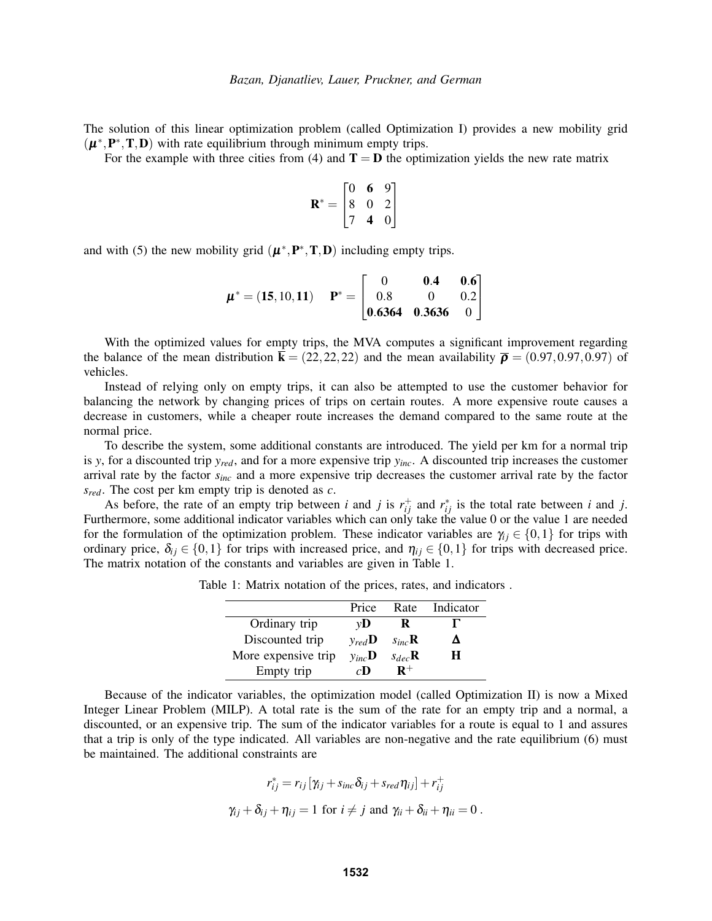The solution of this linear optimization problem (called Optimization I) provides a new mobility grid  $(\boldsymbol{\mu}^*, \mathbf{P}^*, \mathbf{T}, \mathbf{D})$  with rate equilibrium through minimum empty trips.

For the example with three cities from (4) and  $T = D$  the optimization yields the new rate matrix

$$
\mathbf{R}^* = \begin{bmatrix} 0 & \mathbf{6} & 9 \\ 8 & 0 & 2 \\ 7 & \mathbf{4} & 0 \end{bmatrix}
$$

and with (5) the new mobility grid  $(\mu^*, P^*, T, D)$  including empty trips.

$$
\boldsymbol{\mu}^* = (\mathbf{15}, 10, \mathbf{11}) \quad \mathbf{P}^* = \begin{bmatrix} 0 & \mathbf{0.4} & \mathbf{0.6} \\ 0.8 & 0 & 0.2 \\ \mathbf{0.6364} & \mathbf{0.3636} & 0 \end{bmatrix}
$$

With the optimized values for empty trips, the MVA computes a significant improvement regarding the balance of the mean distribution  $\bar{\mathbf{k}} = (22, 22, 22)$  and the mean availability  $\bar{\mathbf{p}} = (0.97, 0.97, 0.97)$  of vehicles.

Instead of relying only on empty trips, it can also be attempted to use the customer behavior for balancing the network by changing prices of trips on certain routes. A more expensive route causes a decrease in customers, while a cheaper route increases the demand compared to the same route at the normal price.

To describe the system, some additional constants are introduced. The yield per km for a normal trip is *y*, for a discounted trip *yred*, and for a more expensive trip *yinc*. A discounted trip increases the customer arrival rate by the factor *sinc* and a more expensive trip decreases the customer arrival rate by the factor *sred*. The cost per km empty trip is denoted as *c*.

As before, the rate of an empty trip between *i* and *j* is  $r_{ij}^+$  and  $r_{ij}^*$  is the total rate between *i* and *j*. Furthermore, some additional indicator variables which can only take the value 0 or the value 1 are needed for the formulation of the optimization problem. These indicator variables are  $\gamma_{ij} \in \{0,1\}$  for trips with ordinary price,  $\delta_{ij} \in \{0,1\}$  for trips with increased price, and  $\eta_{ij} \in \{0,1\}$  for trips with decreased price. The matrix notation of the constants and variables are given in Table 1.

|                     | Price              | Rate               | Indicator |
|---------------------|--------------------|--------------------|-----------|
| Ordinary trip       | vD                 | R                  |           |
| Discounted trip     | $v_{red}D$         | $S_{inc}$ <b>R</b> | Δ         |
| More expensive trip | $y_{inc}$ <b>D</b> | $S_{dec}$ <b>R</b> | H         |
| Empty trip          | $c\mathbf{D}$      | $\mathbf{R}^+$     |           |

Table 1: Matrix notation of the prices, rates, and indicators .

Because of the indicator variables, the optimization model (called Optimization II) is now a Mixed Integer Linear Problem (MILP). A total rate is the sum of the rate for an empty trip and a normal, a discounted, or an expensive trip. The sum of the indicator variables for a route is equal to 1 and assures that a trip is only of the type indicated. All variables are non-negative and the rate equilibrium (6) must be maintained. The additional constraints are

$$
r_{ij}^* = r_{ij} [\gamma_{ij} + s_{inc} \delta_{ij} + s_{red} \eta_{ij}] + r_{ij}^+
$$
  

$$
\gamma_{ij} + \delta_{ij} + \eta_{ij} = 1 \text{ for } i \neq j \text{ and } \gamma_{ii} + \delta_{ii} + \eta_{ii} = 0.
$$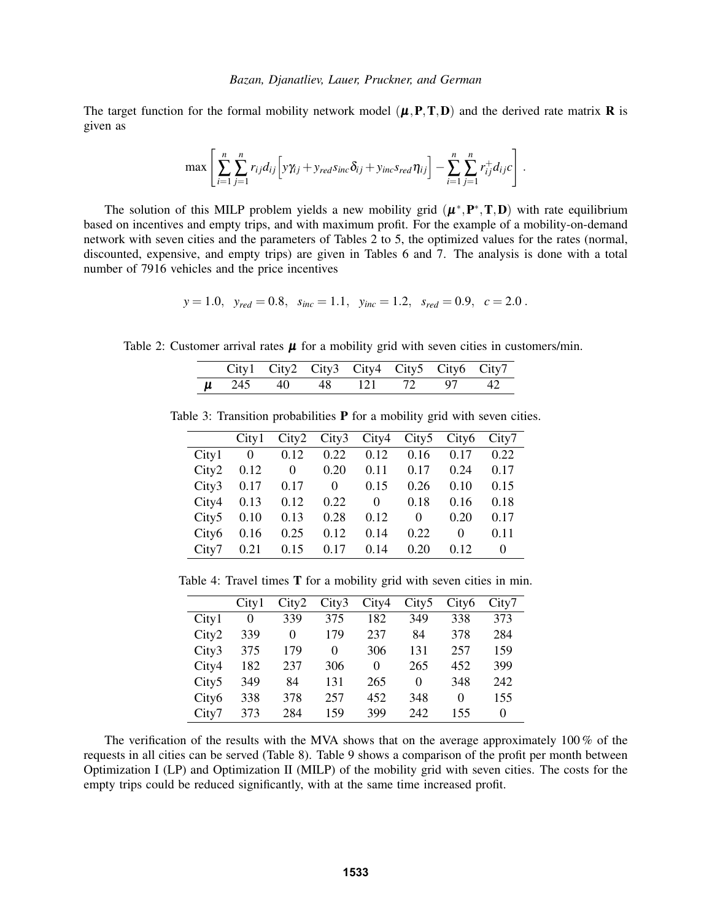The target function for the formal mobility network model  $(\mu, P, T, D)$  and the derived rate matrix **R** is given as

$$
\max\left[\sum_{i=1}^n\sum_{j=1}^n r_{ij}d_{ij}\left[y\gamma_{ij}+y_{red} s_{inc}\delta_{ij}+y_{inc} s_{red}\eta_{ij}\right]-\sum_{i=1}^n\sum_{j=1}^n r_{ij}^+d_{ij}c\right].
$$

The solution of this MILP problem yields a new mobility grid  $(\mu^*, P^*, T, D)$  with rate equilibrium based on incentives and empty trips, and with maximum profit. For the example of a mobility-on-demand network with seven cities and the parameters of Tables 2 to 5, the optimized values for the rates (normal, discounted, expensive, and empty trips) are given in Tables 6 and 7. The analysis is done with a total number of 7916 vehicles and the price incentives

$$
y = 1.0
$$
,  $y_{red} = 0.8$ ,  $s_{inc} = 1.1$ ,  $y_{inc} = 1.2$ ,  $s_{red} = 0.9$ ,  $c = 2.0$ .

Table 2: Customer arrival rates  $\mu$  for a mobility grid with seven cities in customers/min.

|  |  | City1 City2 City3 City4 City5 City6 City7 |  |  |
|--|--|-------------------------------------------|--|--|
|  |  | $\mu$ 245 40 48 121 72 97 42              |  |  |

Table 3: Transition probabilities **P** for a mobility grid with seven cities.

|                   | City1          | City2    | City3 | City4    | City5    | City <sub>6</sub> | City7 |
|-------------------|----------------|----------|-------|----------|----------|-------------------|-------|
| City1             | $\overline{0}$ | 0.12     | 0.22  | 0.12     | 0.16     | 0.17              | 0.22  |
| City2             | 0.12           | $\Omega$ | 0.20  | 0.11     | 0.17     | 0.24              | 0.17  |
| City3             | 0.17           | 0.17     | 0     | 0.15     | 0.26     | 0.10              | 0.15  |
| City4             | 0.13           | 0.12     | 0.22  | $\Omega$ | 0.18     | 0.16              | 0.18  |
| City <sub>5</sub> | 0.10           | 0.13     | 0.28  | 0.12     | $\Omega$ | 0.20              | 0.17  |
| City <sub>6</sub> | 0.16           | 0.25     | 0.12  | 0.14     | 0.22     | $\Omega$          | 0.11  |
| City7             | 0.21           | 0.15     | 0.17  | 0.14     | 0.20     | 0.12              | 0     |

Table 4: Travel times T for a mobility grid with seven cities in min.

|                   | City1 | City2    | City3 | City4 | City <sub>5</sub> | City <sub>6</sub> | City7 |
|-------------------|-------|----------|-------|-------|-------------------|-------------------|-------|
| City1             | 0     | 339      | 375   | 182   | 349               | 338               | 373   |
| City2             | 339   | $\Omega$ | 179   | 237   | 84                | 378               | 284   |
| City3             | 375   | 179      | 0     | 306   | 131               | 257               | 159   |
| City4             | 182   | 237      | 306   | 0     | 265               | 452               | 399   |
| City <sub>5</sub> | 349   | 84       | 131   | 265   | 0                 | 348               | 242   |
| City <sub>6</sub> | 338   | 378      | 257   | 452   | 348               | 0                 | 155   |
| City7             | 373   | 284      | 159   | 399   | 242               | 155               | 0     |

The verification of the results with the MVA shows that on the average approximately 100 % of the requests in all cities can be served (Table 8). Table 9 shows a comparison of the profit per month between Optimization I (LP) and Optimization II (MILP) of the mobility grid with seven cities. The costs for the empty trips could be reduced significantly, with at the same time increased profit.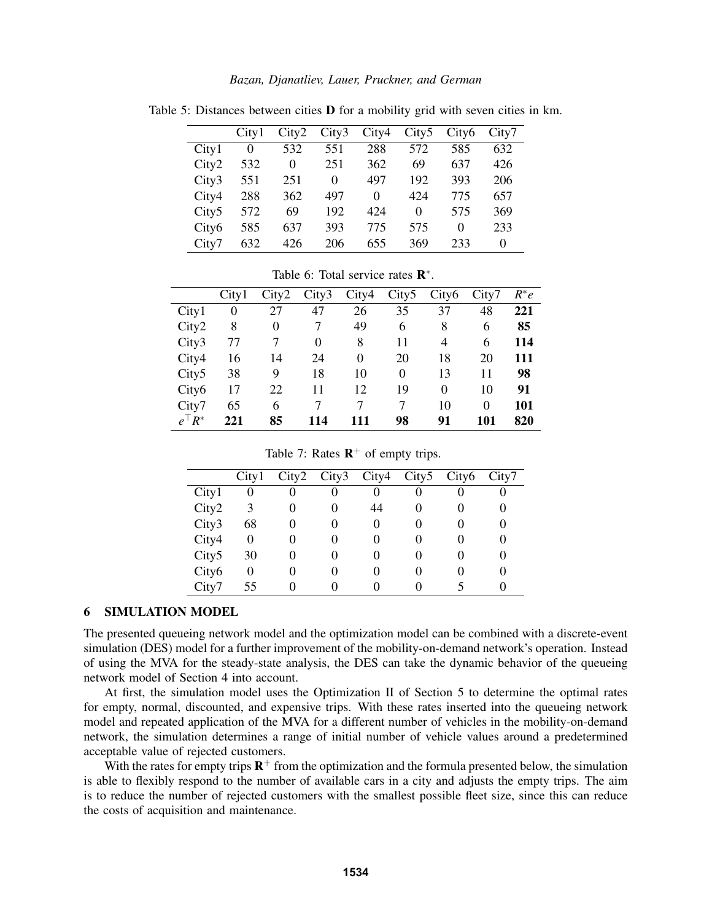|                   | City1 | City2 | City3 | City4 | City <sub>5</sub> | City <sub>6</sub> | City7 |
|-------------------|-------|-------|-------|-------|-------------------|-------------------|-------|
| City1             | 0     | 532   | 551   | 288   | 572               | 585               | 632   |
| City2             | 532   | 0     | 251   | 362   | 69                | 637               | 426   |
| City3             | 551   | 251   | 0     | 497   | 192               | 393               | 206   |
| City4             | 288   | 362   | 497   | 0     | 424               | 775               | 657   |
| City <sub>5</sub> | 572   | 69    | 192   | 424   | 0                 | 575               | 369   |
| City <sub>6</sub> | 585   | 637   | 393   | 775   | 575               | $\Omega$          | 233   |
| City7             | 632   | 426   | 206   | 655   | 369               | 233               | 0     |

Table 5: Distances between cities  **for a mobility grid with seven cities in km.** 

Table 6: Total service rates  $\mathbb{R}^*$ .

|                   | City1 | City2    | City3 | City4    | City <sub>5</sub> | City <sub>6</sub> | City7 | $R^*e$ |
|-------------------|-------|----------|-------|----------|-------------------|-------------------|-------|--------|
| City1             | 0     | 27       | 47    | 26       | 35                | 37                | 48    | 221    |
| City2             | 8     | $\theta$ | 7     | 49       | 6                 | 8                 | 6     | 85     |
| City3             | 77    |          | 0     | 8        | 11                | 4                 | 6     | 114    |
| City4             | 16    | 14       | 24    | $\theta$ | 20                | 18                | 20    | 111    |
| City <sub>5</sub> | 38    | 9        | 18    | 10       | 0                 | 13                | 11    | 98     |
| City <sub>6</sub> | 17    | 22       | 11    | 12       | 19                | $\theta$          | 10    | 91     |
| City7             | 65    | 6        | 7     | 7        | 7                 | 10                | 0     | 101    |
| $e^{\top}R^*$     | 221   | 85       | 114   | 111      | 98                | 91                | 101   | 820    |

Table 7: Rates  $\mathbb{R}^+$  of empty trips.

|       | City1 | City2 | City3 | City4 | City5 | City <sub>6</sub> | City7 |
|-------|-------|-------|-------|-------|-------|-------------------|-------|
| City1 | 0     |       | 0     |       |       |                   |       |
| City2 | 3     | 0     | 0     | 44    |       | $\mathcal{L}$     |       |
| City3 | 68    |       | 0     |       |       | $\mathcal{L}$     |       |
| City4 | 0     |       | 0     |       |       | $\mathcal{L}$     |       |
| City5 | 30    |       | 0     |       |       | $\mathbf{\Omega}$ |       |
| City6 | 0     |       |       |       |       |                   |       |
| City7 | 55    |       |       |       |       |                   |       |

## 6 SIMULATION MODEL

The presented queueing network model and the optimization model can be combined with a discrete-event simulation (DES) model for a further improvement of the mobility-on-demand network's operation. Instead of using the MVA for the steady-state analysis, the DES can take the dynamic behavior of the queueing network model of Section 4 into account.

At first, the simulation model uses the Optimization II of Section 5 to determine the optimal rates for empty, normal, discounted, and expensive trips. With these rates inserted into the queueing network model and repeated application of the MVA for a different number of vehicles in the mobility-on-demand network, the simulation determines a range of initial number of vehicle values around a predetermined acceptable value of rejected customers.

With the rates for empty trips  $\mathbb{R}^+$  from the optimization and the formula presented below, the simulation is able to flexibly respond to the number of available cars in a city and adjusts the empty trips. The aim is to reduce the number of rejected customers with the smallest possible fleet size, since this can reduce the costs of acquisition and maintenance.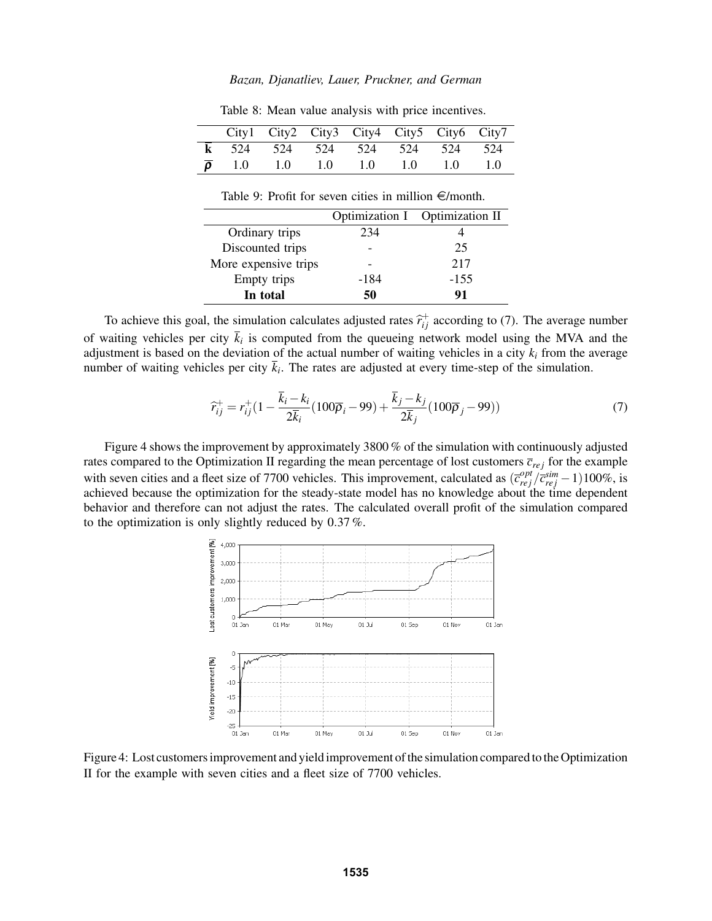|       | City1 City2 City3 City4 City5 City6 City7 |               |     |     |               |     |
|-------|-------------------------------------------|---------------|-----|-----|---------------|-----|
|       | 524 524                                   | 524           | 524 | 524 | 524           | 524 |
| - 1.0 | 1.0                                       | $1.0^{\circ}$ | 1.0 | 1.0 | $1.0^{\circ}$ |     |

Table 8: Mean value analysis with price incentives.

Table 9: Profit for seven cities in million  $\in$ /month.

|                      |      | Optimization I Optimization II |
|----------------------|------|--------------------------------|
| Ordinary trips       | 234  |                                |
| Discounted trips     |      | 25                             |
| More expensive trips |      | 217                            |
| Empty trips          | -184 | $-155$                         |
| In total             | 50   | 91                             |

To achieve this goal, the simulation calculates adjusted rates  $\hat{r}^+_{ij}$  according to (7). The average number of waiting vehicles per city  $k_i$  is computed from the queueing network model using the MVA and the adjustment is based on the deviation of the actual number of waiting vehicles in a city  $k_i$  from the average number of waiting vehicles per city *k<sup>i</sup>* . The rates are adjusted at every time-step of the simulation.

$$
\hat{r}_{ij}^+ = r_{ij}^+(1 - \frac{\bar{k}_i - k_i}{2\bar{k}_i}(100\bar{p}_i - 99) + \frac{\bar{k}_j - k_j}{2\bar{k}_j}(100\bar{p}_j - 99))
$$
\n(7)

Figure 4 shows the improvement by approximately 3800 % of the simulation with continuously adjusted rates compared to the Optimization II regarding the mean percentage of lost customers  $\bar{c}_{rej}$  for the example with seven cities and a fleet size of 7700 vehicles. This improvement, calculated as  $(\overline{c}_{rej}^{opt}/\overline{c}_{rej}^{sim} - 1)100\%$ , is achieved because the optimization for the steady-state model has no knowledge about the time dependent behavior and therefore can not adjust the rates. The calculated overall profit of the simulation compared to the optimization is only slightly reduced by 0.37 %.



Figure 4: Lost customers improvement and yield improvement of the simulation compared to the Optimization II for the example with seven cities and a fleet size of 7700 vehicles.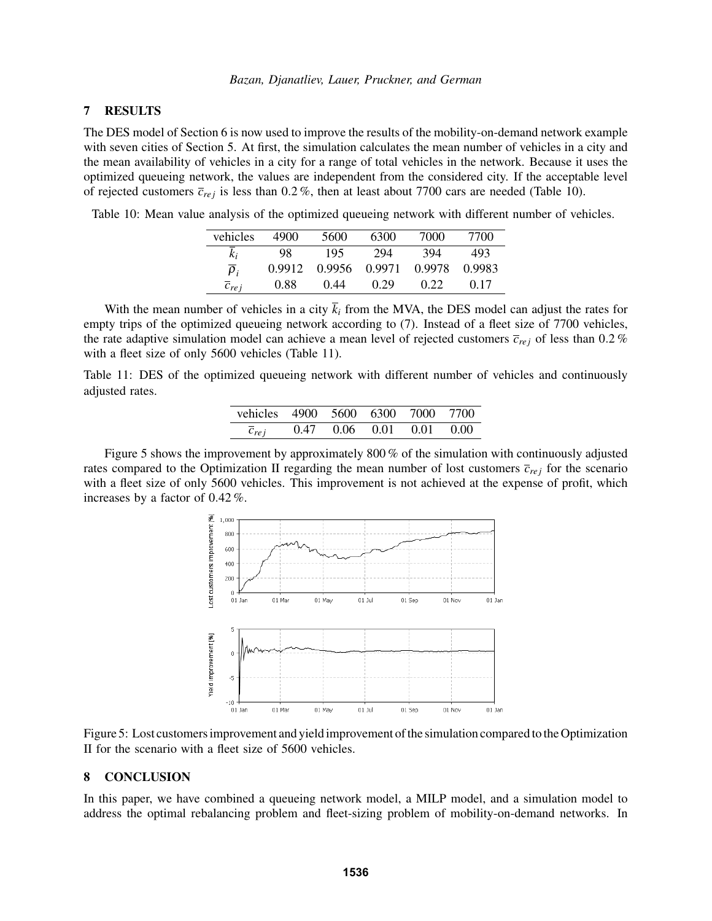## 7 RESULTS

The DES model of Section 6 is now used to improve the results of the mobility-on-demand network example with seven cities of Section 5. At first, the simulation calculates the mean number of vehicles in a city and the mean availability of vehicles in a city for a range of total vehicles in the network. Because it uses the optimized queueing network, the values are independent from the considered city. If the acceptable level of rejected customers  $\bar{c}_{rej}$  is less than 0.2%, then at least about 7700 cars are needed (Table 10).

Table 10: Mean value analysis of the optimized queueing network with different number of vehicles.

| vehicles             | 4900   | 5600   | 6300   | 7000   | 7700   |
|----------------------|--------|--------|--------|--------|--------|
| k;                   | 98     | 195    | 294    | 394    | 493    |
| $\overline{\rho}_i$  | 0.9912 | 0.9956 | 0.9971 | 0.9978 | 0.9983 |
| $\overline{c}_{rej}$ | 0.88   | 0.44   | 0.29   | 0.22   | 0.17   |

With the mean number of vehicles in a city  $\bar{k}_i$  from the MVA, the DES model can adjust the rates for empty trips of the optimized queueing network according to (7). Instead of a fleet size of 7700 vehicles, the rate adaptive simulation model can achieve a mean level of rejected customers  $\bar{c}_{rej}$  of less than 0.2 % with a fleet size of only 5600 vehicles (Table 11).

Table 11: DES of the optimized queueing network with different number of vehicles and continuously adjusted rates.

| vehicles 4900 5600 6300 7000 7700 |  |                                    |  |
|-----------------------------------|--|------------------------------------|--|
| $\overline{c}_{rej}$              |  | $0.47$ $0.06$ $0.01$ $0.01$ $0.00$ |  |

Figure 5 shows the improvement by approximately 800 % of the simulation with continuously adjusted rates compared to the Optimization II regarding the mean number of lost customers  $\bar{c}_{rej}$  for the scenario with a fleet size of only 5600 vehicles. This improvement is not achieved at the expense of profit, which increases by a factor of 0.42 %.



Figure 5: Lost customers improvement and yield improvement of the simulation compared to the Optimization II for the scenario with a fleet size of 5600 vehicles.

### 8 CONCLUSION

In this paper, we have combined a queueing network model, a MILP model, and a simulation model to address the optimal rebalancing problem and fleet-sizing problem of mobility-on-demand networks. In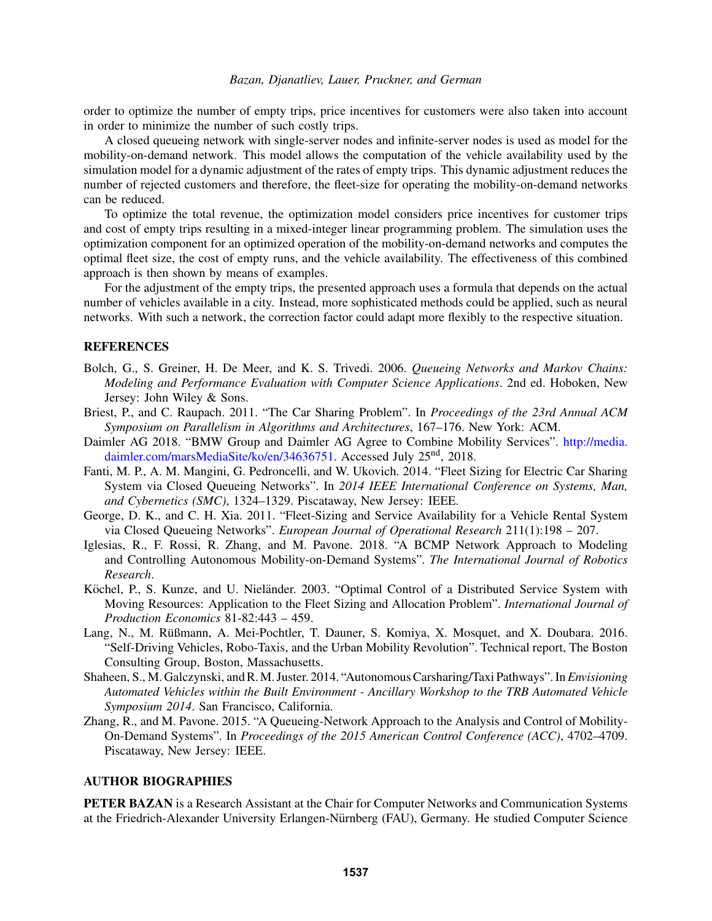order to optimize the number of empty trips, price incentives for customers were also taken into account in order to minimize the number of such costly trips.

A closed queueing network with single-server nodes and infinite-server nodes is used as model for the mobility-on-demand network. This model allows the computation of the vehicle availability used by the simulation model for a dynamic adjustment of the rates of empty trips. This dynamic adjustment reduces the number of rejected customers and therefore, the fleet-size for operating the mobility-on-demand networks can be reduced.

To optimize the total revenue, the optimization model considers price incentives for customer trips and cost of empty trips resulting in a mixed-integer linear programming problem. The simulation uses the optimization component for an optimized operation of the mobility-on-demand networks and computes the optimal fleet size, the cost of empty runs, and the vehicle availability. The effectiveness of this combined approach is then shown by means of examples.

For the adjustment of the empty trips, the presented approach uses a formula that depends on the actual number of vehicles available in a city. Instead, more sophisticated methods could be applied, such as neural networks. With such a network, the correction factor could adapt more flexibly to the respective situation.

## REFERENCES

- Bolch, G., S. Greiner, H. De Meer, and K. S. Trivedi. 2006. *Queueing Networks and Markov Chains: Modeling and Performance Evaluation with Computer Science Applications*. 2nd ed. Hoboken, New Jersey: John Wiley & Sons.
- Briest, P., and C. Raupach. 2011. "The Car Sharing Problem". In *Proceedings of the 23rd Annual ACM Symposium on Parallelism in Algorithms and Architectures*, 167–176. New York: ACM.
- Daimler AG 2018. "BMW Group and Daimler AG Agree to Combine Mobility Services". http://media. daimler.com/marsMediaSite/ko/en/34636751. Accessed July 25<sup>nd</sup>, 2018.
- Fanti, M. P., A. M. Mangini, G. Pedroncelli, and W. Ukovich. 2014. "Fleet Sizing for Electric Car Sharing System via Closed Queueing Networks". In *2014 IEEE International Conference on Systems, Man, and Cybernetics (SMC)*, 1324–1329. Piscataway, New Jersey: IEEE.
- George, D. K., and C. H. Xia. 2011. "Fleet-Sizing and Service Availability for a Vehicle Rental System via Closed Queueing Networks". *European Journal of Operational Research* 211(1):198 – 207.
- Iglesias, R., F. Rossi, R. Zhang, and M. Pavone. 2018. "A BCMP Network Approach to Modeling and Controlling Autonomous Mobility-on-Demand Systems". *The International Journal of Robotics Research*.
- Köchel, P., S. Kunze, and U. Nieländer. 2003. "Optimal Control of a Distributed Service System with Moving Resources: Application to the Fleet Sizing and Allocation Problem". *International Journal of Production Economics* 81-82:443 – 459.
- Lang, N., M. Rüßmann, A. Mei-Pochtler, T. Dauner, S. Komiya, X. Mosquet, and X. Doubara. 2016. "Self-Driving Vehicles, Robo-Taxis, and the Urban Mobility Revolution". Technical report, The Boston Consulting Group, Boston, Massachusetts.
- Shaheen, S., M. Galczynski, and R.M. Juster. 2014. "Autonomous Carsharing/Taxi Pathways". In*Envisioning Automated Vehicles within the Built Environment - Ancillary Workshop to the TRB Automated Vehicle Symposium 2014*. San Francisco, California.
- Zhang, R., and M. Pavone. 2015. "A Queueing-Network Approach to the Analysis and Control of Mobility-On-Demand Systems". In *Proceedings of the 2015 American Control Conference (ACC)*, 4702–4709. Piscataway, New Jersey: IEEE.

# AUTHOR BIOGRAPHIES

PETER BAZAN is a Research Assistant at the Chair for Computer Networks and Communication Systems at the Friedrich-Alexander University Erlangen-Nürnberg (FAU), Germany. He studied Computer Science